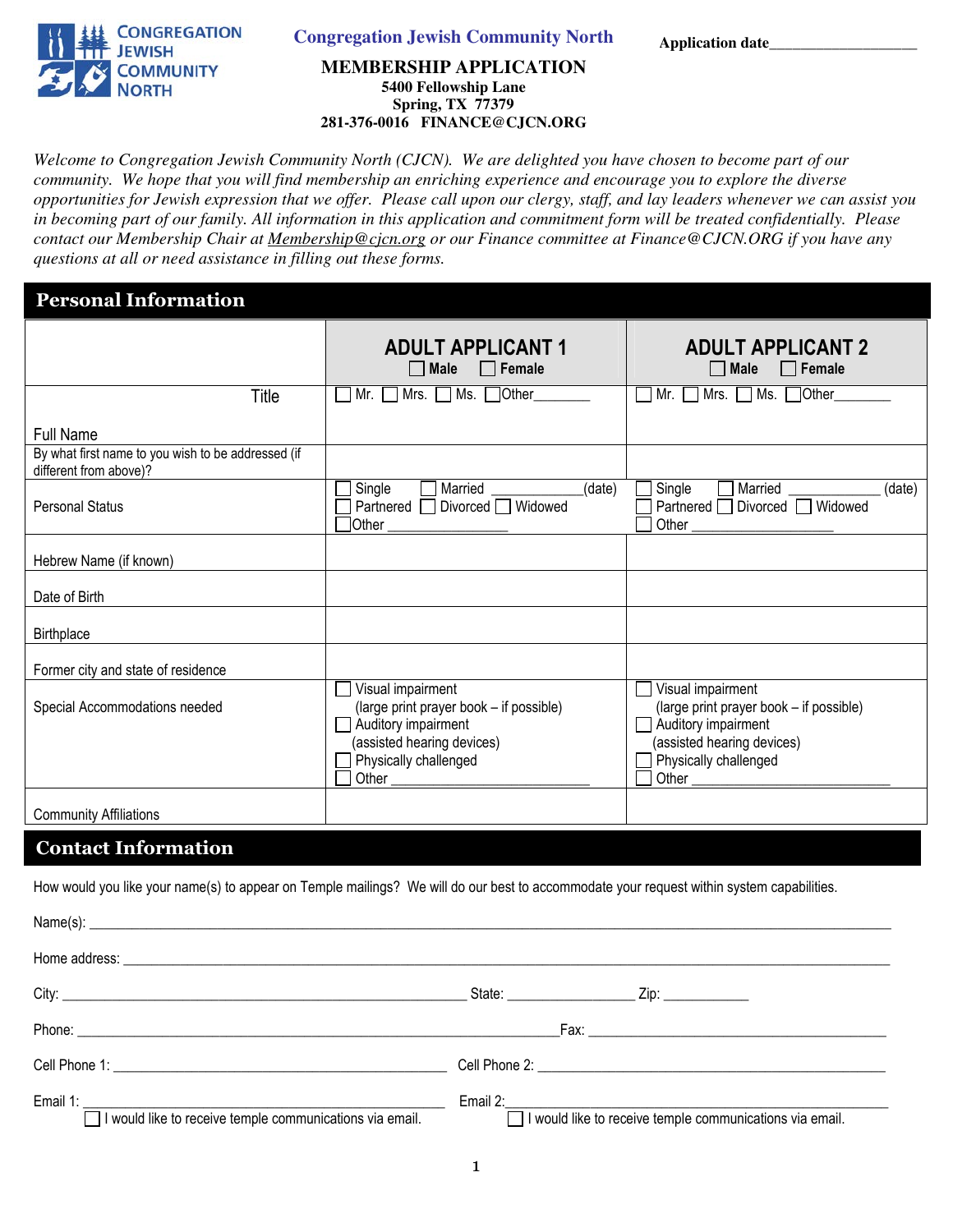

 **Application date\_\_\_\_\_\_\_\_\_\_\_\_\_\_\_\_\_\_\_ Congregation Jewish Community North** 

#### **MEMBERSHIP APPLICATION 5400 Fellowship Lane Spring, TX 77379 281-376-0016 FINANCE@CJCN.ORG**

*Welcome to Congregation Jewish Community North (CJCN). We are delighted you have chosen to become part of our community. We hope that you will find membership an enriching experience and encourage you to explore the diverse opportunities for Jewish expression that we offer. Please call upon our clergy, staff, and lay leaders whenever we can assist you in becoming part of our family. All information in this application and commitment form will be treated confidentially. Please contact our Membership Chair at Membership@cjcn.org or our Finance committee at Finance@CJCN.ORG if you have any questions at all or need assistance in filling out these forms.* 

### Personal Information

|                                                                              | <b>ADULT APPLICANT 1</b><br>$\Box$ Female<br>  Male                                                                                                 | <b>ADULT APPLICANT 2</b><br>$\Box$ Female<br>$\Box$ Male                                                                                            |
|------------------------------------------------------------------------------|-----------------------------------------------------------------------------------------------------------------------------------------------------|-----------------------------------------------------------------------------------------------------------------------------------------------------|
| Title                                                                        | Mrs. $\Box$ Ms. $\Box$ Other<br>Mr.                                                                                                                 | $\Box$ Ms. $\Box$ Other<br>Mr.<br>Mrs.<br>$\overline{\phantom{a}}$                                                                                  |
| <b>Full Name</b>                                                             |                                                                                                                                                     |                                                                                                                                                     |
| By what first name to you wish to be addressed (if<br>different from above)? |                                                                                                                                                     |                                                                                                                                                     |
| <b>Personal Status</b>                                                       | $\overline{\text{Single}}$<br>Married<br>(date)<br>$\mathbf{I}$<br>Partnered Divorced Widowed<br>Other                                              | Single<br>Married<br>(date)<br>Partnered □ Divorced □ Widowed<br>Other                                                                              |
| Hebrew Name (if known)                                                       |                                                                                                                                                     |                                                                                                                                                     |
| Date of Birth                                                                |                                                                                                                                                     |                                                                                                                                                     |
| Birthplace                                                                   |                                                                                                                                                     |                                                                                                                                                     |
| Former city and state of residence                                           |                                                                                                                                                     |                                                                                                                                                     |
| Special Accommodations needed                                                | Visual impairment<br>(large print prayer book - if possible)<br>Auditory impairment<br>(assisted hearing devices)<br>Physically challenged<br>Other | Visual impairment<br>(large print prayer book - if possible)<br>Auditory impairment<br>(assisted hearing devices)<br>Physically challenged<br>Other |
| <b>Community Affiliations</b>                                                |                                                                                                                                                     |                                                                                                                                                     |

#### Contact Information

How would you like your name(s) to appear on Temple mailings? We will do our best to accommodate your request within system capabilities.

| Name(s):                                                 |                                                          |
|----------------------------------------------------------|----------------------------------------------------------|
|                                                          |                                                          |
| City: City:                                              | State: <u>Zip: Zip:</u>                                  |
|                                                          |                                                          |
|                                                          |                                                          |
| I would like to receive temple communications via email. | I would like to receive temple communications via email. |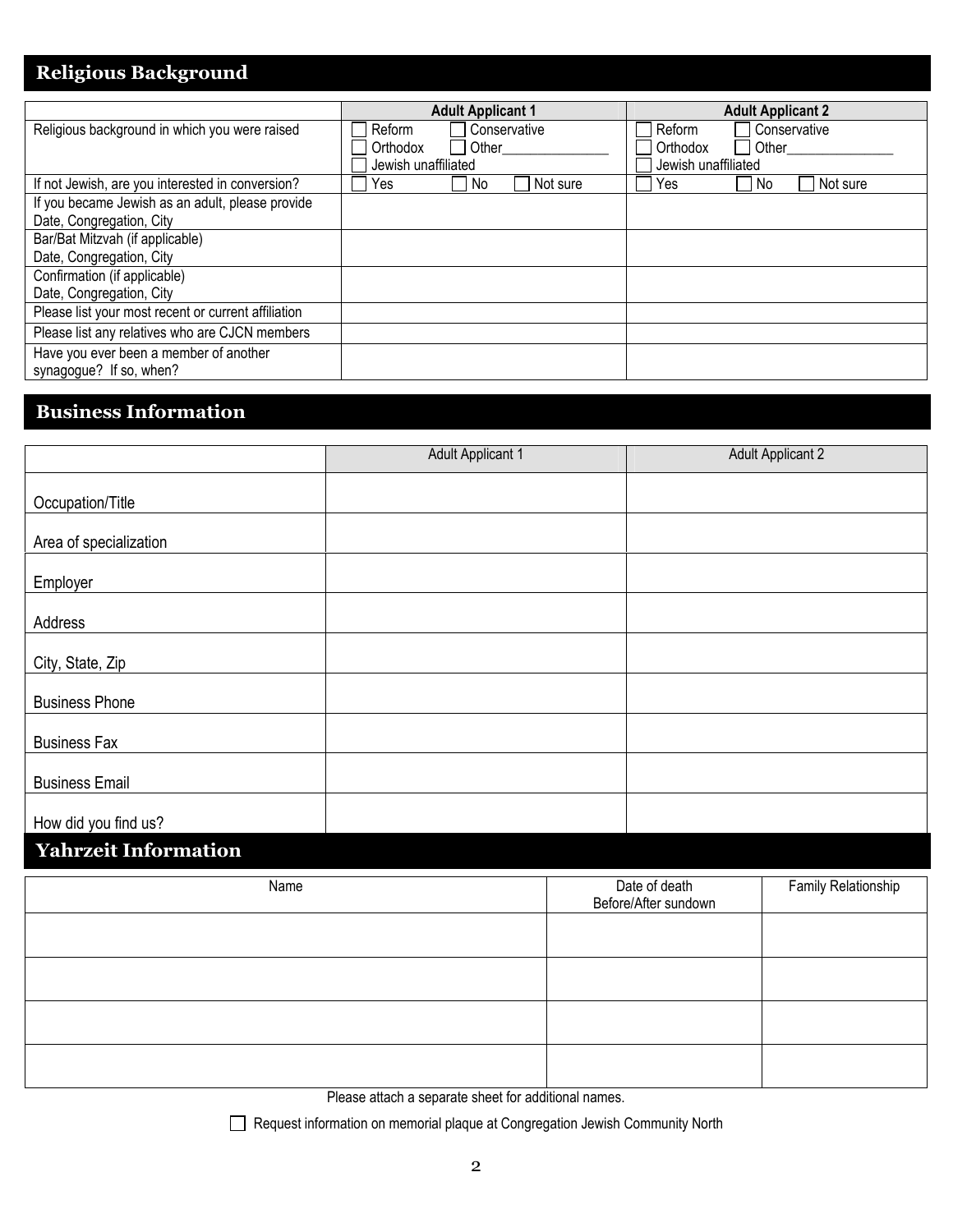### Religious Background

|                                                     | <b>Adult Applicant 1</b> | <b>Adult Applicant 2</b> |
|-----------------------------------------------------|--------------------------|--------------------------|
| Religious background in which you were raised       | Conservative<br>Reform   | Conservative<br>Reform   |
|                                                     | Other<br>Orthodox        | Other<br>Orthodox        |
|                                                     | Jewish unaffiliated      | Jewish unaffiliated      |
| If not Jewish, are you interested in conversion?    | Yes.<br>Not sure<br>No.  | Not sure<br>Yes<br>No.   |
| If you became Jewish as an adult, please provide    |                          |                          |
| Date, Congregation, City                            |                          |                          |
| Bar/Bat Mitzvah (if applicable)                     |                          |                          |
| Date, Congregation, City                            |                          |                          |
| Confirmation (if applicable)                        |                          |                          |
| Date, Congregation, City                            |                          |                          |
| Please list your most recent or current affiliation |                          |                          |
| Please list any relatives who are CJCN members      |                          |                          |
| Have you ever been a member of another              |                          |                          |
| synagogue? If so, when?                             |                          |                          |

# Business Information

|                             | <b>Adult Applicant 1</b> |                                       | <b>Adult Applicant 2</b> |
|-----------------------------|--------------------------|---------------------------------------|--------------------------|
|                             |                          |                                       |                          |
| Occupation/Title            |                          |                                       |                          |
| Area of specialization      |                          |                                       |                          |
| Employer                    |                          |                                       |                          |
| Address                     |                          |                                       |                          |
| City, State, Zip            |                          |                                       |                          |
| <b>Business Phone</b>       |                          |                                       |                          |
| <b>Business Fax</b>         |                          |                                       |                          |
| <b>Business Email</b>       |                          |                                       |                          |
| How did you find us?        |                          |                                       |                          |
| <b>Yahrzeit Information</b> |                          |                                       |                          |
| Name                        |                          | Date of death<br>Before/After sundown | Family Relationship      |
|                             |                          |                                       |                          |
|                             |                          |                                       |                          |
|                             |                          |                                       |                          |

Please attach a separate sheet for additional names.

Request information on memorial plaque at Congregation Jewish Community North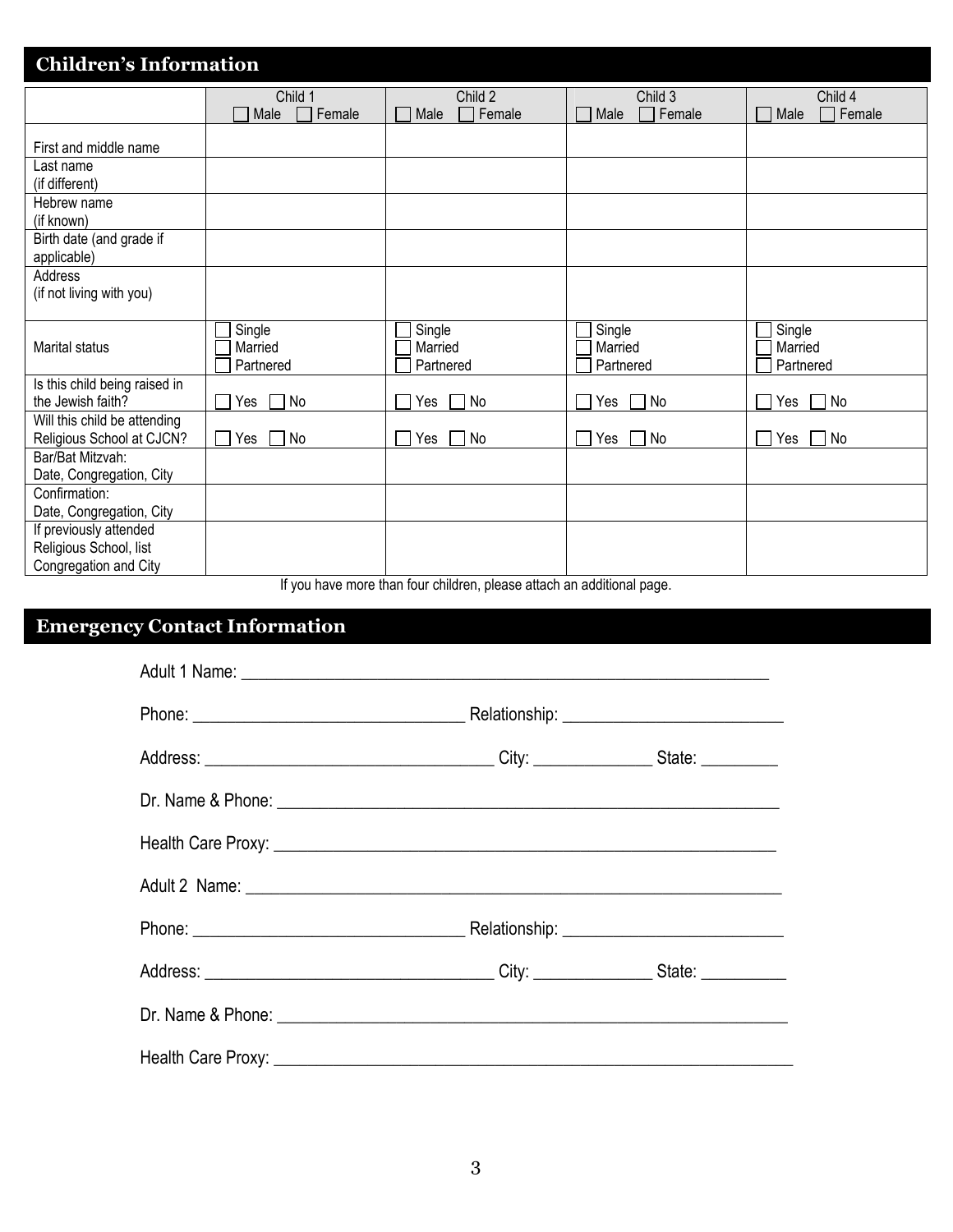| <b>Children's Information</b>                                             |                                |                                           |                                     |                                |
|---------------------------------------------------------------------------|--------------------------------|-------------------------------------------|-------------------------------------|--------------------------------|
|                                                                           | Child 1<br>Female<br>Male      | Child 2<br>Female<br>Male<br>$\mathbf{I}$ | Child 3<br>Female<br>Male<br>$\Box$ | Child 4<br>Female<br>Male      |
| First and middle name                                                     |                                |                                           |                                     |                                |
| Last name<br>(if different)                                               |                                |                                           |                                     |                                |
| Hebrew name<br>(if known)                                                 |                                |                                           |                                     |                                |
| Birth date (and grade if<br>applicable)                                   |                                |                                           |                                     |                                |
| Address<br>(if not living with you)                                       |                                |                                           |                                     |                                |
| Marital status                                                            | Single<br>Married<br>Partnered | Single<br>Married<br>Partnered            | Single<br>Married<br>Partnered      | Single<br>Married<br>Partnered |
| Is this child being raised in<br>the Jewish faith?                        | No<br>Yes                      | Yes<br>No                                 | No<br>Yes                           | No<br>Yes                      |
| Will this child be attending<br>Religious School at CJCN?                 | No<br>Yes                      | Yes<br>No<br>$\blacksquare$               | No<br>Yes<br>$\blacksquare$         | No<br>Yes<br>$\blacksquare$    |
| Bar/Bat Mitzvah:<br>Date, Congregation, City                              |                                |                                           |                                     |                                |
| Confirmation:<br>Date, Congregation, City                                 |                                |                                           |                                     |                                |
| If previously attended<br>Religious School, list<br>Congregation and City | $\cdot$                        |                                           |                                     |                                |

If you have more than four children, please attach an additional page.

# Emergency Contact Information